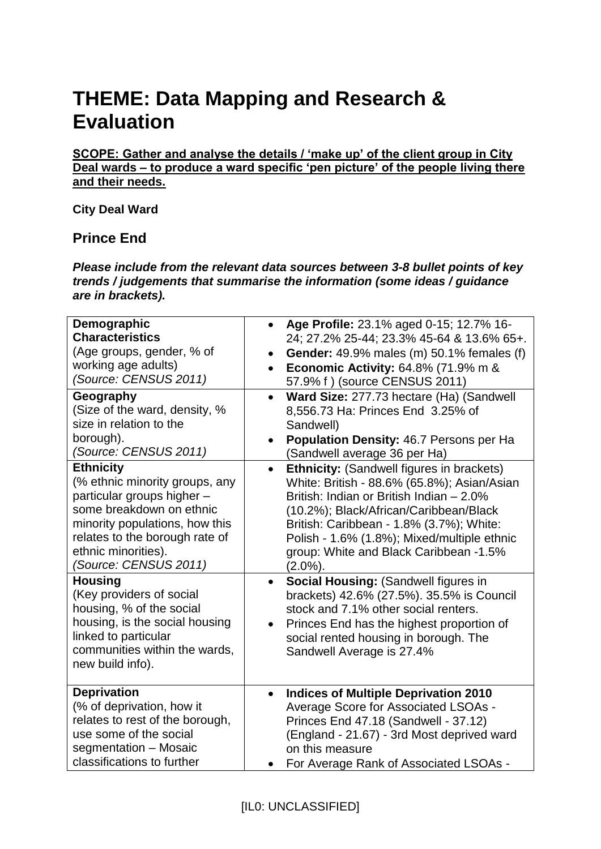## **THEME: Data Mapping and Research & Evaluation**

**SCOPE: Gather and analyse the details / 'make up' of the client group in City Deal wards – to produce a ward specific 'pen picture' of the people living there and their needs.** 

## **City Deal Ward**

## **Prince End**

*Please include from the relevant data sources between 3-8 bullet points of key trends / judgements that summarise the information (some ideas / guidance are in brackets).*

| Demographic<br><b>Characteristics</b><br>(Age groups, gender, % of<br>working age adults)<br>(Source: CENSUS 2011)<br>Geography<br>(Size of the ward, density, %<br>size in relation to the<br>borough).<br>(Source: CENSUS 2011) | Age Profile: 23.1% aged 0-15; 12.7% 16-<br>$\bullet$<br>24; 27.2% 25-44; 23.3% 45-64 & 13.6% 65+.<br>Gender: 49.9% males (m) 50.1% females (f)<br>$\bullet$<br><b>Economic Activity: 64.8% (71.9% m &amp;</b><br>$\bullet$<br>57.9% f ) (source CENSUS 2011)<br>Ward Size: 277.73 hectare (Ha) (Sandwell<br>$\bullet$<br>8,556.73 Ha: Princes End 3.25% of<br>Sandwell)<br>Population Density: 46.7 Persons per Ha<br>(Sandwell average 36 per Ha) |
|-----------------------------------------------------------------------------------------------------------------------------------------------------------------------------------------------------------------------------------|----------------------------------------------------------------------------------------------------------------------------------------------------------------------------------------------------------------------------------------------------------------------------------------------------------------------------------------------------------------------------------------------------------------------------------------------------|
| <b>Ethnicity</b><br>(% ethnic minority groups, any<br>particular groups higher -<br>some breakdown on ethnic<br>minority populations, how this<br>relates to the borough rate of<br>ethnic minorities).<br>(Source: CENSUS 2011)  | <b>Ethnicity: (Sandwell figures in brackets)</b><br>$\bullet$<br>White: British - 88.6% (65.8%); Asian/Asian<br>British: Indian or British Indian - 2.0%<br>(10.2%); Black/African/Caribbean/Black<br>British: Caribbean - 1.8% (3.7%); White:<br>Polish - 1.6% (1.8%); Mixed/multiple ethnic<br>group: White and Black Caribbean -1.5%<br>$(2.0\%)$ .                                                                                             |
| <b>Housing</b><br>(Key providers of social<br>housing, % of the social<br>housing, is the social housing<br>linked to particular<br>communities within the wards,<br>new build info).                                             | <b>Social Housing: (Sandwell figures in</b><br>$\bullet$<br>brackets) 42.6% (27.5%). 35.5% is Council<br>stock and 7.1% other social renters.<br>Princes End has the highest proportion of<br>$\bullet$<br>social rented housing in borough. The<br>Sandwell Average is 27.4%                                                                                                                                                                      |
| <b>Deprivation</b><br>(% of deprivation, how it<br>relates to rest of the borough,<br>use some of the social<br>segmentation - Mosaic<br>classifications to further                                                               | <b>Indices of Multiple Deprivation 2010</b><br>$\bullet$<br>Average Score for Associated LSOAs -<br>Princes End 47.18 (Sandwell - 37.12)<br>(England - 21.67) - 3rd Most deprived ward<br>on this measure<br>For Average Rank of Associated LSOAs -                                                                                                                                                                                                |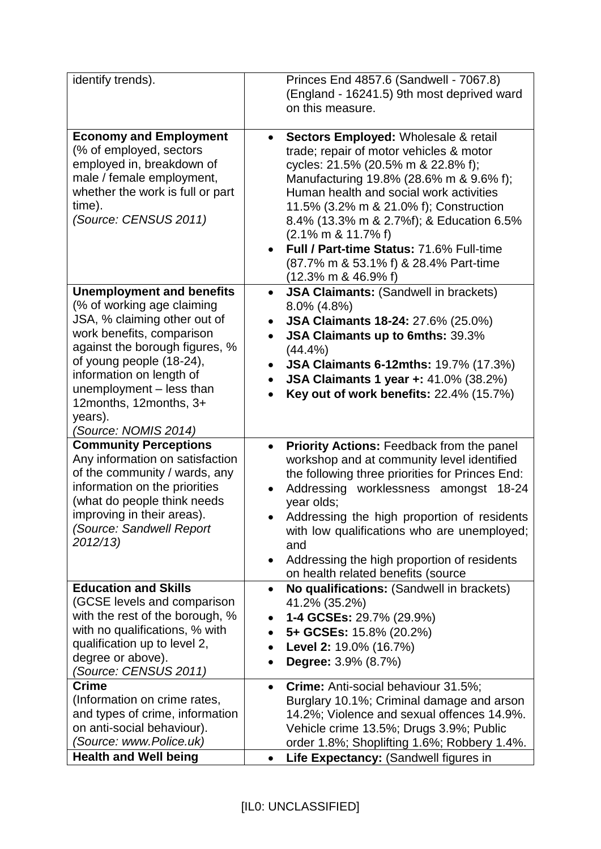| identify trends).                                                                                                                                                                                                                                                                                              | Princes End 4857.6 (Sandwell - 7067.8)<br>(England - 16241.5) 9th most deprived ward<br>on this measure.                                                                                                                                                                                                                                                                                                                                                                                            |
|----------------------------------------------------------------------------------------------------------------------------------------------------------------------------------------------------------------------------------------------------------------------------------------------------------------|-----------------------------------------------------------------------------------------------------------------------------------------------------------------------------------------------------------------------------------------------------------------------------------------------------------------------------------------------------------------------------------------------------------------------------------------------------------------------------------------------------|
| <b>Economy and Employment</b><br>(% of employed, sectors<br>employed in, breakdown of<br>male / female employment,<br>whether the work is full or part<br>time).<br>(Source: CENSUS 2011)                                                                                                                      | Sectors Employed: Wholesale & retail<br>$\bullet$<br>trade; repair of motor vehicles & motor<br>cycles: 21.5% (20.5% m & 22.8% f);<br>Manufacturing 19.8% (28.6% m & 9.6% f);<br>Human health and social work activities<br>11.5% (3.2% m & 21.0% f); Construction<br>8.4% (13.3% m & 2.7%f); & Education 6.5%<br>$(2.1\% \text{ m } 8.11.7\% \text{ f})$<br>Full / Part-time Status: 71.6% Full-time<br>(87.7% m & 53.1% f) & 28.4% Part-time<br>$(12.3\% \text{ m} \text{ \& } 46.9\% \text{ f})$ |
| <b>Unemployment and benefits</b><br>(% of working age claiming<br>JSA, % claiming other out of<br>work benefits, comparison<br>against the borough figures, %<br>of young people (18-24),<br>information on length of<br>unemployment - less than<br>12months, 12months, 3+<br>years).<br>(Source: NOMIS 2014) | <b>JSA Claimants: (Sandwell in brackets)</b><br>$\bullet$<br>8.0% (4.8%)<br><b>JSA Claimants 18-24: 27.6% (25.0%)</b><br>$\bullet$<br>JSA Claimants up to 6mths: 39.3%<br>$\bullet$<br>(44.4%)<br><b>JSA Claimants 6-12mths: 19.7% (17.3%)</b><br>$\bullet$<br><b>JSA Claimants 1 year +: 41.0% (38.2%)</b><br><b>Key out of work benefits: 22.4% (15.7%)</b>                                                                                                                                       |
| <b>Community Perceptions</b><br>Any information on satisfaction<br>of the community / wards, any<br>information on the priorities<br>(what do people think needs<br>improving in their areas).<br>(Source: Sandwell Report<br>2012/13)                                                                         | Priority Actions: Feedback from the panel<br>$\bullet$<br>workshop and at community level identified<br>the following three priorities for Princes End:<br>Addressing worklessness amongst<br>18-24<br>year olds;<br>Addressing the high proportion of residents<br>with low qualifications who are unemployed;<br>and<br>Addressing the high proportion of residents<br>$\bullet$<br>on health related benefits (source                                                                            |
| <b>Education and Skills</b><br>(GCSE levels and comparison<br>with the rest of the borough, %<br>with no qualifications, % with<br>qualification up to level 2,<br>degree or above).<br>(Source: CENSUS 2011)                                                                                                  | No qualifications: (Sandwell in brackets)<br>$\bullet$<br>41.2% (35.2%)<br>1-4 GCSEs: 29.7% (29.9%)<br>5+ GCSEs: 15.8% (20.2%)<br>$\bullet$<br>Level 2: 19.0% (16.7%)<br><b>Degree:</b> 3.9% (8.7%)                                                                                                                                                                                                                                                                                                 |
| <b>Crime</b><br>(Information on crime rates,<br>and types of crime, information<br>on anti-social behaviour).<br>(Source: www.Police.uk)<br><b>Health and Well being</b>                                                                                                                                       | Crime: Anti-social behaviour 31.5%;<br>$\bullet$<br>Burglary 10.1%; Criminal damage and arson<br>14.2%; Violence and sexual offences 14.9%.<br>Vehicle crime 13.5%; Drugs 3.9%; Public<br>order 1.8%; Shoplifting 1.6%; Robbery 1.4%.<br>Life Expectancy: (Sandwell figures in<br>$\bullet$                                                                                                                                                                                                         |